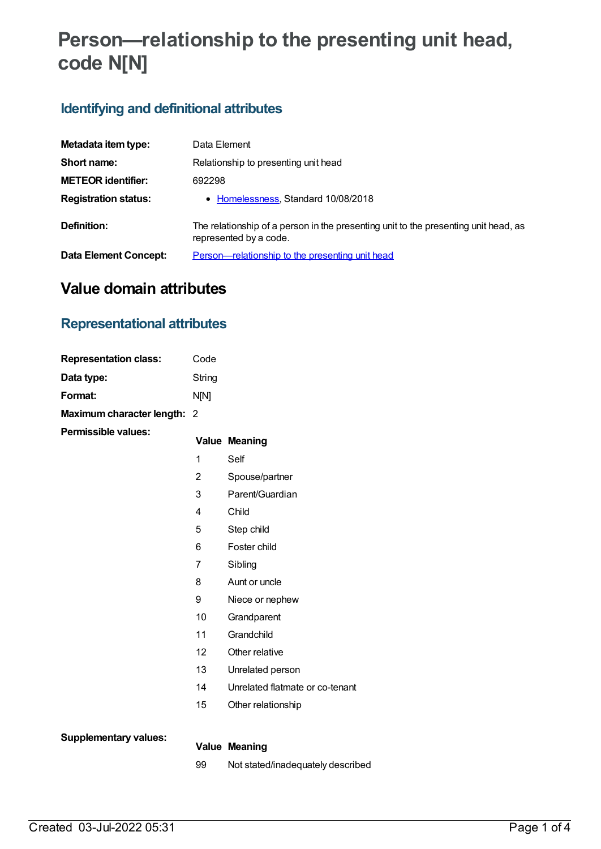# **Person—relationship to the presenting unit head, code N[N]**

## **Identifying and definitional attributes**

| Metadata item type:          | Data Element                                                                                                  |
|------------------------------|---------------------------------------------------------------------------------------------------------------|
| Short name:                  | Relationship to presenting unit head                                                                          |
| <b>METEOR identifier:</b>    | 692298                                                                                                        |
| <b>Registration status:</b>  | • Homelessness, Standard 10/08/2018                                                                           |
| Definition:                  | The relationship of a person in the presenting unit to the presenting unit head, as<br>represented by a code. |
| <b>Data Element Concept:</b> | Person—relationship to the presenting unit head                                                               |

# **Value domain attributes**

#### **Representational attributes**

| <b>Representation class:</b> | Code           |                                   |
|------------------------------|----------------|-----------------------------------|
| Data type:                   | String         |                                   |
| Format:                      | N[N]           |                                   |
| Maximum character length: 2  |                |                                   |
| <b>Permissible values:</b>   |                | <b>Value Meaning</b>              |
|                              | 1              | Self                              |
|                              | $\overline{2}$ | Spouse/partner                    |
|                              | 3              | Parent/Guardian                   |
|                              | 4              | Child                             |
|                              | 5              | Step child                        |
|                              | 6              | Foster child                      |
|                              | $\overline{7}$ | Sibling                           |
|                              | 8              | Aunt or uncle                     |
|                              | 9              | Niece or nephew                   |
|                              | 10             | Grandparent                       |
|                              | 11             | Grandchild                        |
|                              | 12             | Other relative                    |
|                              | 13             | Unrelated person                  |
|                              | 14             | Unrelated flatmate or co-tenant   |
|                              | 15             | Other relationship                |
|                              |                |                                   |
| <b>Supplementary values:</b> |                | <b>Value Meaning</b>              |
|                              | 99             | Not stated/inadequately described |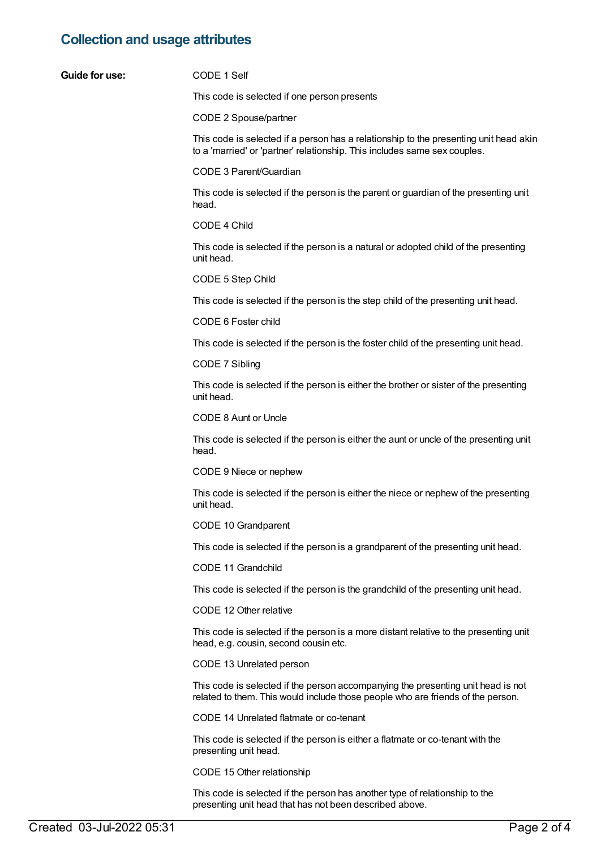## **Collection and usage attributes**

| Guide for use: | CODE 1 Self                                                                                                                                                         |
|----------------|---------------------------------------------------------------------------------------------------------------------------------------------------------------------|
|                | This code is selected if one person presents                                                                                                                        |
|                | CODE 2 Spouse/partner                                                                                                                                               |
|                | This code is selected if a person has a relationship to the presenting unit head akin<br>to a 'married' or 'partner' relationship. This includes same sex couples.  |
|                | CODE 3 Parent/Guardian                                                                                                                                              |
|                | This code is selected if the person is the parent or guardian of the presenting unit<br>head.                                                                       |
|                | CODE 4 Child                                                                                                                                                        |
|                | This code is selected if the person is a natural or adopted child of the presenting<br>unit head.                                                                   |
|                | CODE 5 Step Child                                                                                                                                                   |
|                | This code is selected if the person is the step child of the presenting unit head.                                                                                  |
|                | CODE 6 Foster child                                                                                                                                                 |
|                | This code is selected if the person is the foster child of the presenting unit head.                                                                                |
|                | CODE 7 Sibling                                                                                                                                                      |
|                | This code is selected if the person is either the brother or sister of the presenting<br>unit head.                                                                 |
|                | CODE 8 Aunt or Uncle                                                                                                                                                |
|                | This code is selected if the person is either the aunt or uncle of the presenting unit<br>head.                                                                     |
|                | CODE 9 Niece or nephew                                                                                                                                              |
|                | This code is selected if the person is either the niece or nephew of the presenting<br>unit head.                                                                   |
|                | CODE 10 Grandparent                                                                                                                                                 |
|                | This code is selected if the person is a grandparent of the presenting unit head.                                                                                   |
|                | CODE 11 Grandchild                                                                                                                                                  |
|                | This code is selected if the person is the grandchild of the presenting unit head.                                                                                  |
|                | CODE 12 Other relative                                                                                                                                              |
|                | This code is selected if the person is a more distant relative to the presenting unit<br>head, e.g. cousin, second cousin etc.                                      |
|                | CODE 13 Unrelated person                                                                                                                                            |
|                | This code is selected if the person accompanying the presenting unit head is not<br>related to them. This would include those people who are friends of the person. |
|                | CODE 14 Unrelated flatmate or co-tenant                                                                                                                             |
|                | This code is selected if the person is either a flatmate or co-tenant with the<br>presenting unit head.                                                             |

CODE 15 Other relationship

This code is selected if the person has another type of relationship to the presenting unit head that has not been described above.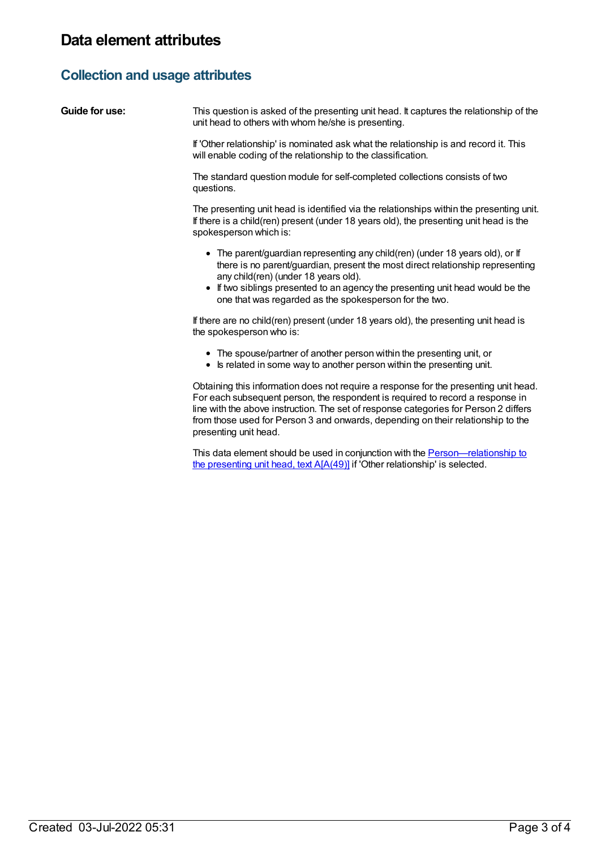## **Collection and usage attributes**

| Guide for use: | This question is asked of the presenting unit head. It captures the relationship of the<br>unit head to others with whom he/she is presenting.                                                                                                                                                                                                                              |
|----------------|-----------------------------------------------------------------------------------------------------------------------------------------------------------------------------------------------------------------------------------------------------------------------------------------------------------------------------------------------------------------------------|
|                | If 'Other relationship' is nominated ask what the relationship is and record it. This<br>will enable coding of the relationship to the classification.                                                                                                                                                                                                                      |
|                | The standard question module for self-completed collections consists of two<br>questions.                                                                                                                                                                                                                                                                                   |
|                | The presenting unit head is identified via the relationships within the presenting unit.<br>If there is a child(ren) present (under 18 years old), the presenting unit head is the<br>spokesperson which is:                                                                                                                                                                |
|                | • The parent/guardian representing any child(ren) (under 18 years old), or If<br>there is no parent/guardian, present the most direct relationship representing<br>any child(ren) (under 18 years old).<br>If two siblings presented to an agency the presenting unit head would be the<br>one that was regarded as the spokesperson for the two.                           |
|                | If there are no child(ren) present (under 18 years old), the presenting unit head is<br>the spokesperson who is:                                                                                                                                                                                                                                                            |
|                | • The spouse/partner of another person within the presenting unit, or<br>• Is related in some way to another person within the presenting unit.                                                                                                                                                                                                                             |
|                | Obtaining this information does not require a response for the presenting unit head.<br>For each subsequent person, the respondent is required to record a response in<br>line with the above instruction. The set of response categories for Person 2 differs<br>from those used for Person 3 and onwards, depending on their relationship to the<br>presenting unit head. |
|                | This data element should be used in conjunction with the Person—relationship to                                                                                                                                                                                                                                                                                             |

the presenting unit head, text A[A(49)] if 'Other relationship' is selected.